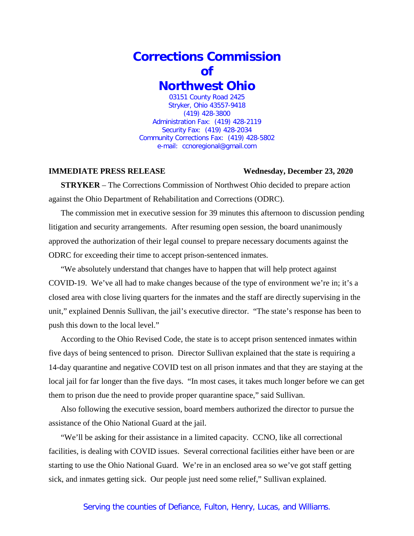## **Corrections Commission of Northwest Ohio** 03151 County Road 2425

Stryker, Ohio 43557-9418 (419) 428-3800 Administration Fax: (419) 428-2119 Security Fax: (419) 428-2034 Community Corrections Fax: (419) 428-5802 e-mail: ccnoregional@gmail.com

## **IMMEDIATE PRESS RELEASE Wednesday, December 23, 2020**

**STRYKER** – The Corrections Commission of Northwest Ohio decided to prepare action against the Ohio Department of Rehabilitation and Corrections (ODRC).

The commission met in executive session for 39 minutes this afternoon to discussion pending litigation and security arrangements. After resuming open session, the board unanimously approved the authorization of their legal counsel to prepare necessary documents against the ODRC for exceeding their time to accept prison-sentenced inmates.

"We absolutely understand that changes have to happen that will help protect against COVID-19. We've all had to make changes because of the type of environment we're in; it's a closed area with close living quarters for the inmates and the staff are directly supervising in the unit," explained Dennis Sullivan, the jail's executive director. "The state's response has been to push this down to the local level."

According to the Ohio Revised Code, the state is to accept prison sentenced inmates within five days of being sentenced to prison. Director Sullivan explained that the state is requiring a 14-day quarantine and negative COVID test on all prison inmates and that they are staying at the local jail for far longer than the five days. "In most cases, it takes much longer before we can get them to prison due the need to provide proper quarantine space," said Sullivan.

Also following the executive session, board members authorized the director to pursue the assistance of the Ohio National Guard at the jail.

"We'll be asking for their assistance in a limited capacity. CCNO, like all correctional facilities, is dealing with COVID issues. Several correctional facilities either have been or are starting to use the Ohio National Guard. We're in an enclosed area so we've got staff getting sick, and inmates getting sick. Our people just need some relief," Sullivan explained.

## Serving the counties of Defiance, Fulton, Henry, Lucas, and Williams.